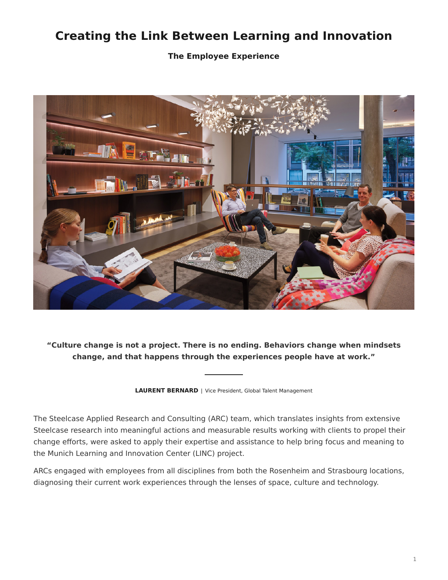# <span id="page-0-0"></span>**Creating the Link Between Learning and Innovation**

**The Employee Experience**



**"Culture change is not a project. There is no ending. Behaviors change when mindsets change, and that happens through the experiences people have at work."**

**LAURENT BERNARD** | Vice President, Global Talent Management

The Steelcase Applied Research and Consulting (ARC) team, which translates insights from extensive Steelcase research into meaningful actions and measurable results working with clients to propel their change efforts, were asked to apply their expertise and assistance to help bring focus and meaning to the Munich Learning and Innovation Center (LINC) project.

ARCs engaged with employees from all disciplines from both the Rosenheim and Strasbourg locations, diagnosing their current work experiences through the lenses of space, culture and technology.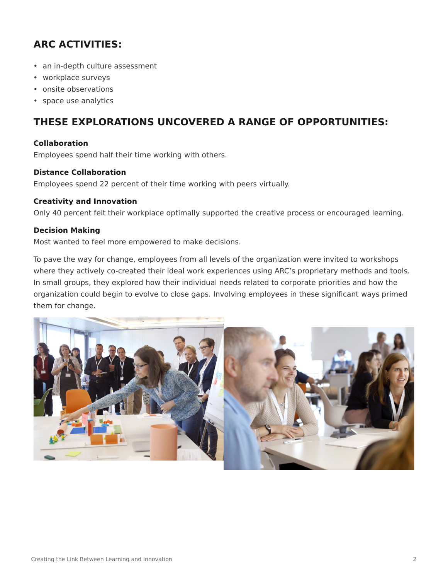## **ARC ACTIVITIES:**

- an in-depth culture assessment
- workplace surveys
- onsite observations
- space use analytics

## **THESE EXPLORATIONS UNCOVERED A RANGE OF OPPORTUNITIES:**

## **Collaboration**

Employees spend half their time working with others.

## **Distance Collaboration**

Employees spend 22 percent of their time working with peers virtually.

## **Creativity and Innovation**

Only 40 percent felt their workplace optimally supported the creative process or encouraged learning.

## **Decision Making**

Most wanted to feel more empowered to make decisions.

To pave the way for change, employees from all levels of the organization were invited to workshops where they actively co-created their ideal work experiences using ARC's proprietary methods and tools. In small groups, they explored how their individual needs related to corporate priorities and how the organization could begin to evolve to close gaps. Involving employees in these significant ways primed them for change.

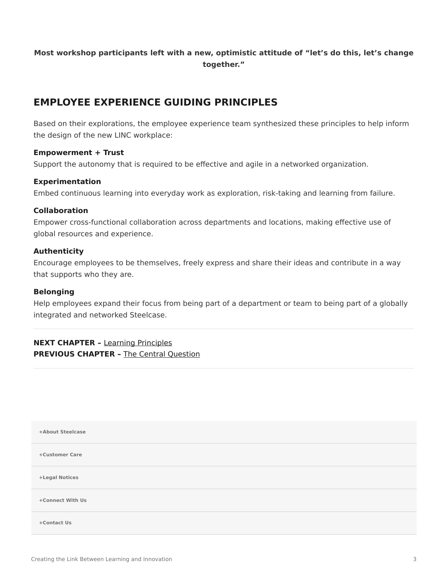## **Most workshop participants left with a new, optimistic attitude of "let's do this, let's change together."**

## **EMPLOYEE EXPERIENCE GUIDING PRINCIPLES**

Based on their explorations, the employee experience team synthesized these principles to help inform the design of the new LINC workplace:

## **Empowerment + Trust**

Support the autonomy that is required to be effective and agile in a networked organization.

## **Experimentation**

Embed continuous learning into everyday work as exploration, risk-taking and learning from failure.

## **Collaboration**

Empower cross-functional collaboration across departments and locations, making effective use of global resources and experience.

## **Authenticity**

Encourage employees to be themselves, freely express and share their ideas and contribute in a way that supports who they are.

#### **Belonging**

Help employees expand their focus from being part of a department or team to being part of a globally integrated and networked Steelcase.

**NEXT CHAPTER –** [Learning Principles](https://www.steelcase.com/research/articles/creating-link-learning-innovation-learning-principles/) **PREVIOUS CHAPTER - The Central Ouestion** 

| +About Steelcase |  |  |
|------------------|--|--|
| +Customer Care   |  |  |
| +Legal Notices   |  |  |
| +Connect With Us |  |  |
| +Contact Us      |  |  |